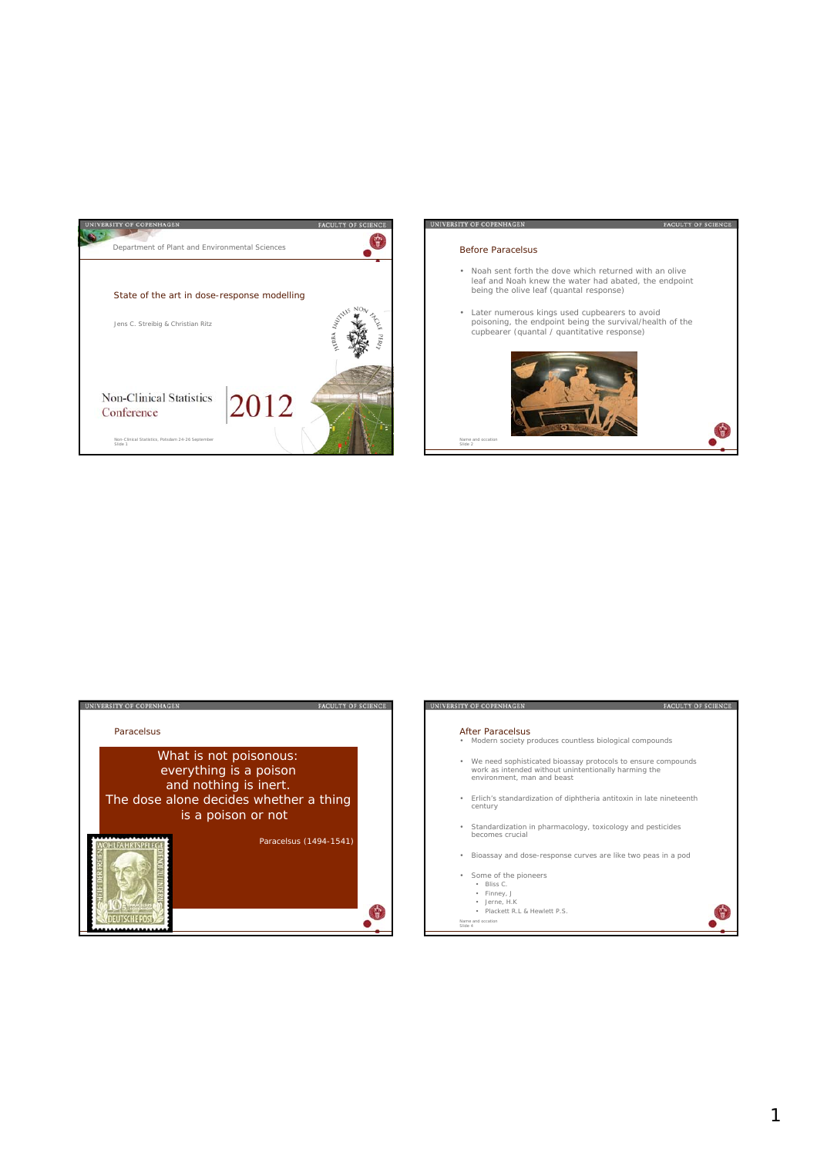

# UNIVERSITY OF COPENHAGEN

### Before Paracelsus

• Noah sent forth the dove which returned with an olive leaf and Noah knew the water had abated, the endpoint being the olive leaf (quantal response)

FACULTY OF SCIENCE

• Later numerous kings used cupbearers to avoid poisoning, the endpoint being the survival/health of the cupbearer (quantal / quantitative response)





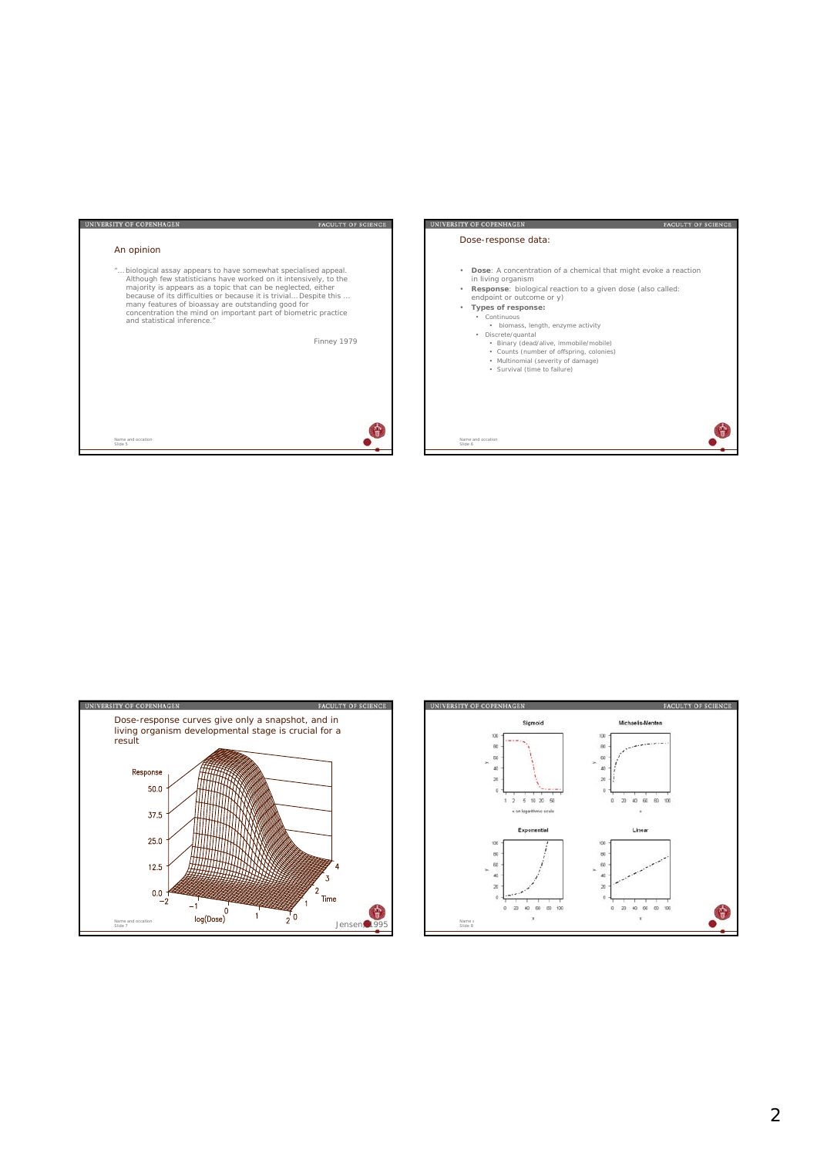





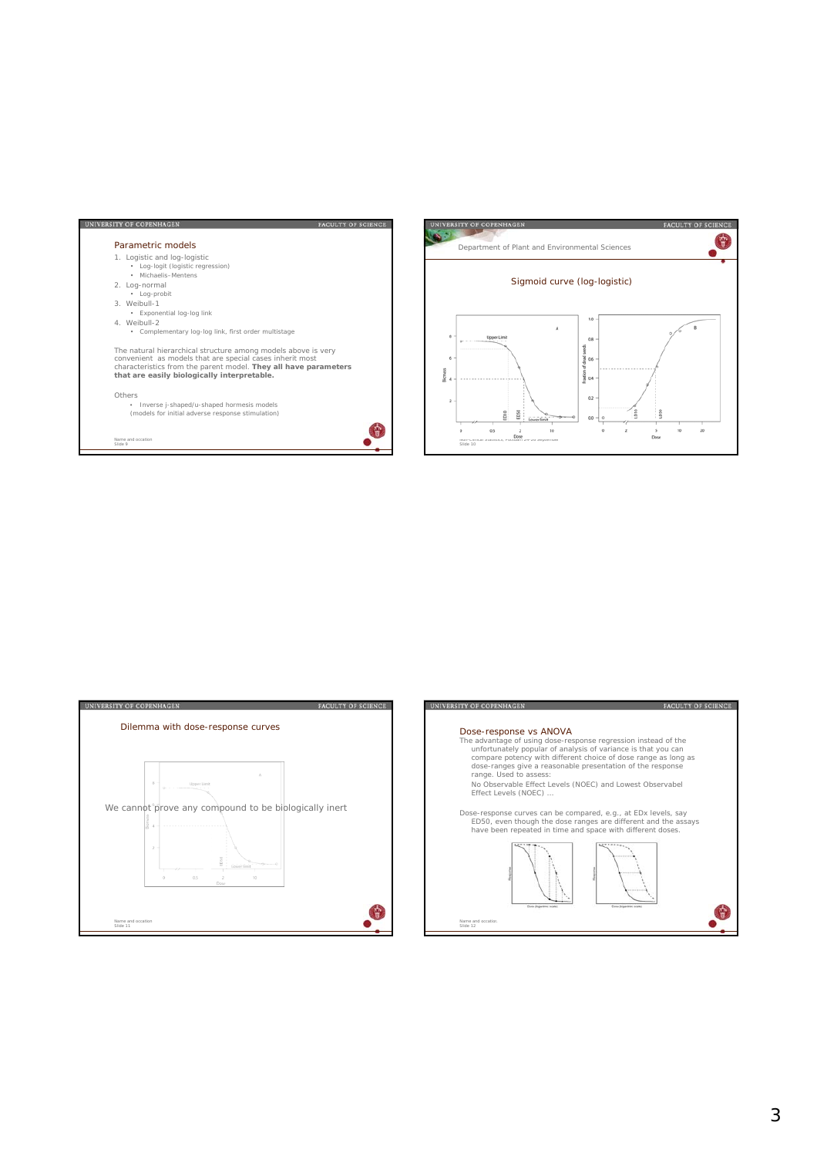





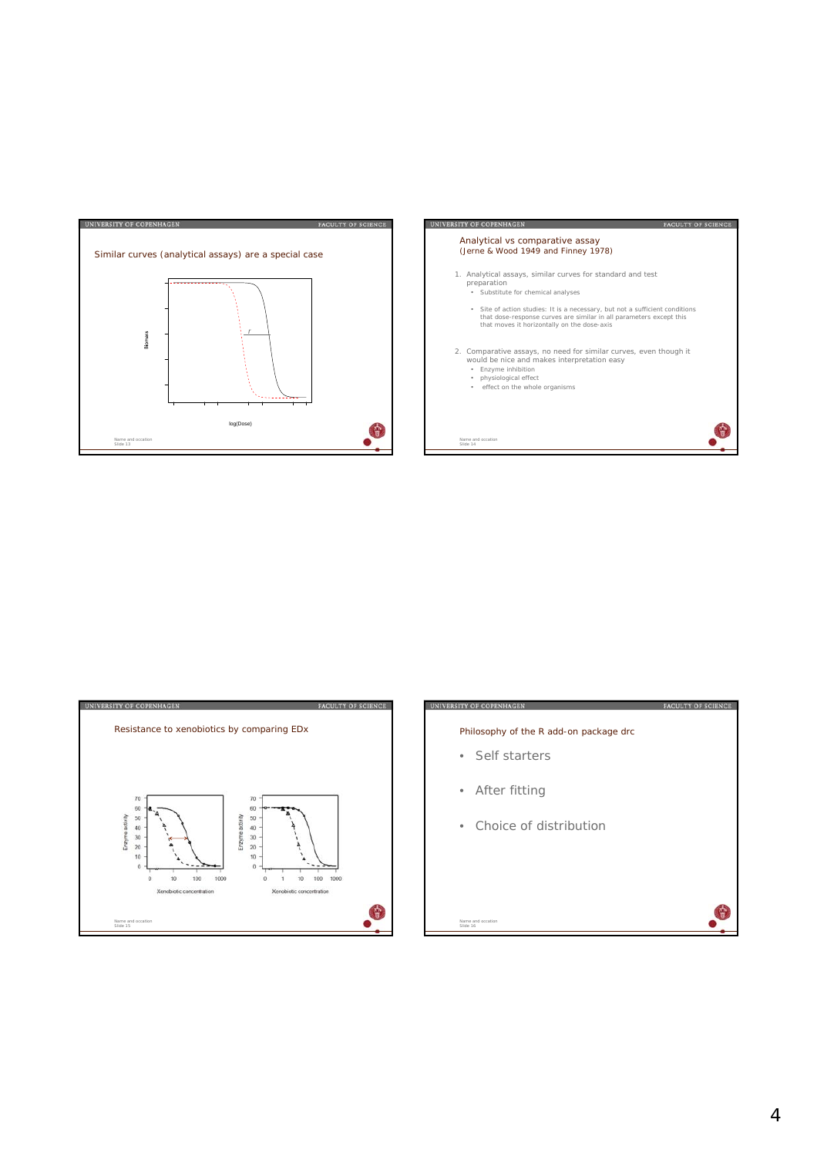





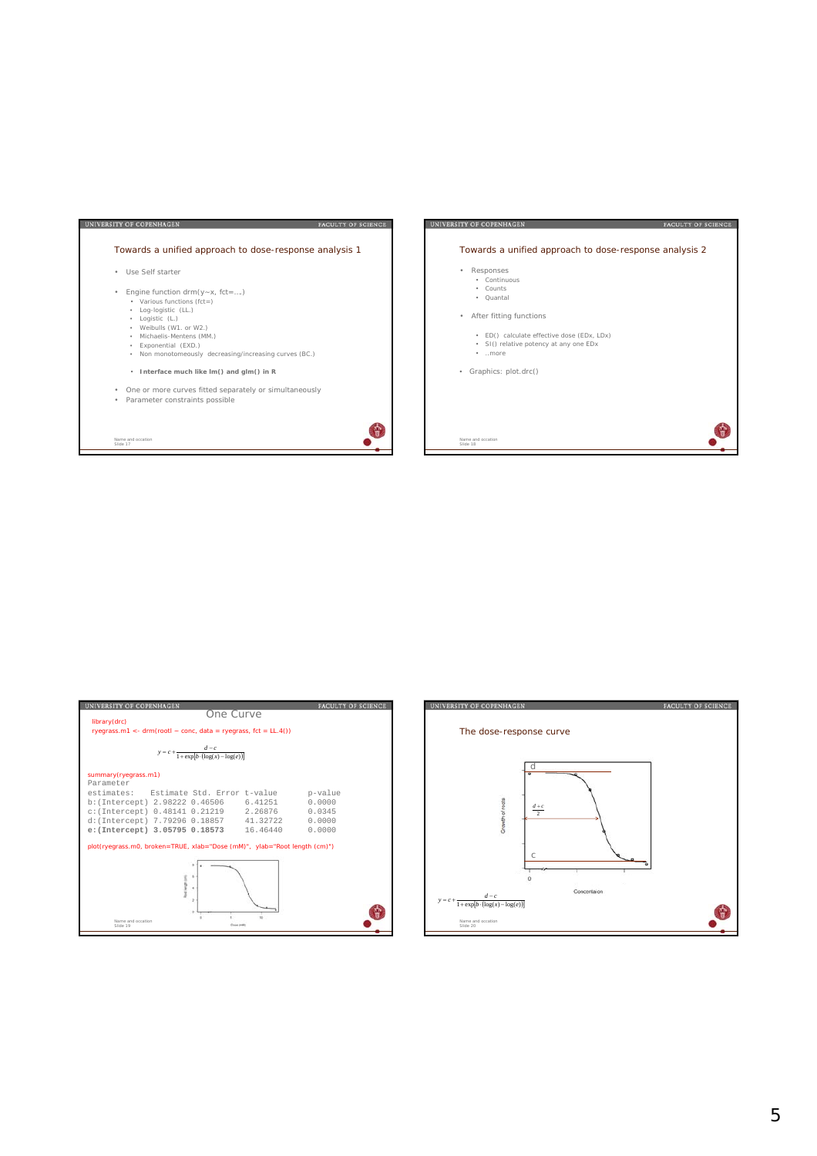

| UNIVERSITY OF COPENHAGEN                                                                                                                                                                                                                                                                                                                                           | <b>FACULTY OF SCIENCE</b>  |
|--------------------------------------------------------------------------------------------------------------------------------------------------------------------------------------------------------------------------------------------------------------------------------------------------------------------------------------------------------------------|----------------------------|
| library(drc)<br>ryegrass.m1 <- $drm(root - conc, data = ryegrass, fct = LL.4()$                                                                                                                                                                                                                                                                                    | One Curve                  |
| $y = c + \frac{1}{1 + \exp[b \cdot (\log(x) - \log(e))]}$                                                                                                                                                                                                                                                                                                          |                            |
| summary(ryegrass.m1)<br>Parameter<br>estimates: Estimate Std. Error t-value p-value<br>b: (Intercept) 2.98222 0.46506 6.41251<br>c: (Intercept) 0.48141 0.21219 2.26876<br>d: (Intercept) 7.79296 0.18857 41.32722<br>e: (Intercept) 3.05795 0.18573 16.46440 0.0000<br>plot(ryegrass.m0, broken=TRUE, xlab="Dose (mM)", ylab="Root length (cm)")<br>$\mathcal{D}$ | 0.0000<br>0.0345<br>0.0000 |
| Name and occation<br>Slide 19                                                                                                                                                                                                                                                                                                                                      | <b>Cose (m&amp;b</b>       |

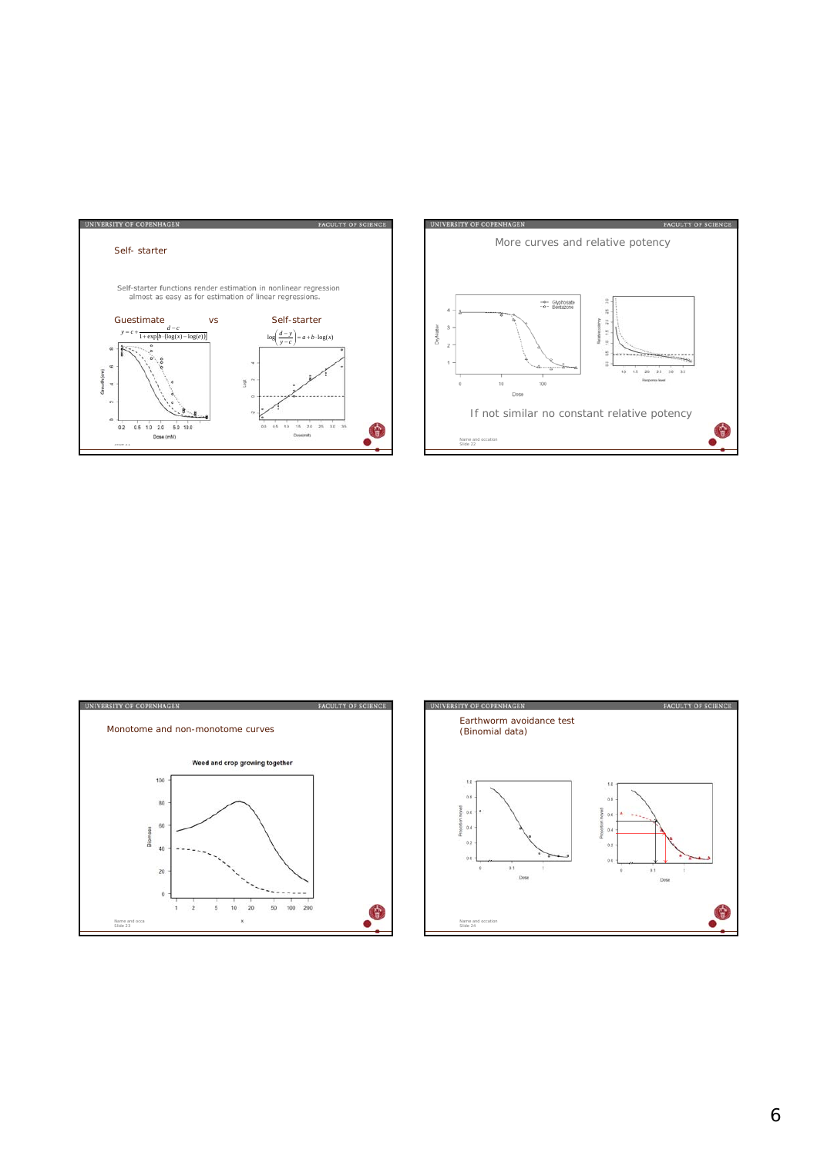





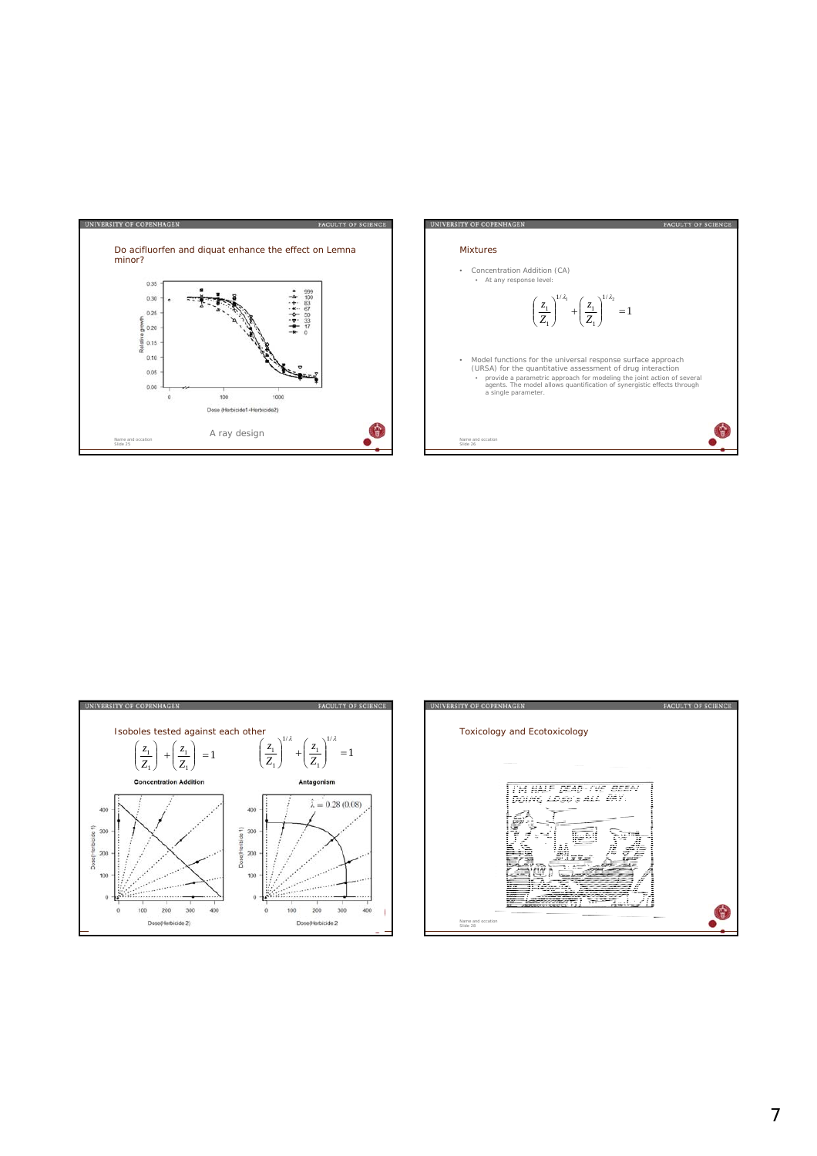





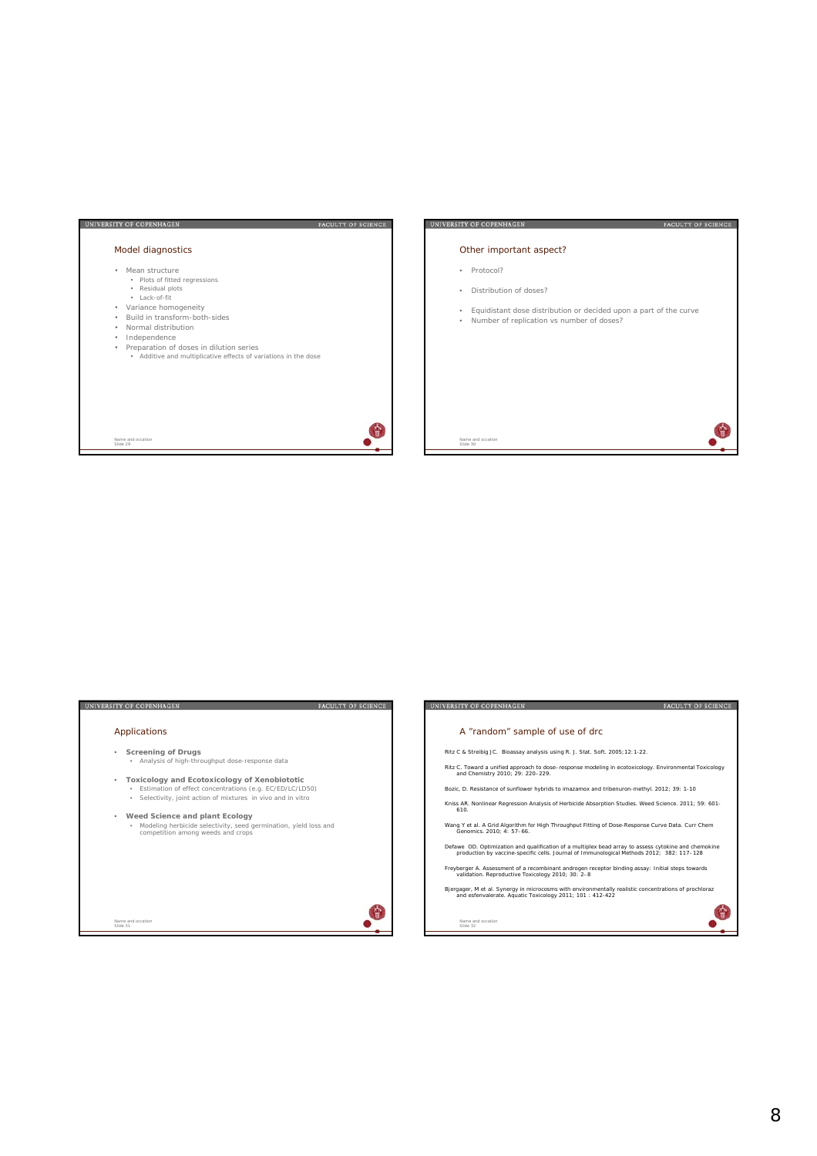

| <b>UNIVERSITY OF COPENHAGEN</b><br><b>FACULTY OF SCIENCE</b>                                                                                                                                                                                                                                                                                                                                                     | <b>UNIVERSITY OF COPENHAGEN</b><br><b>FACULTY OF SCIENCE</b>                                                                                                                                                                                                                                                                                                                                                                                                                                                                                                                                                                                                                                                                                                                                                                                                                                                                                                                                                                                        |
|------------------------------------------------------------------------------------------------------------------------------------------------------------------------------------------------------------------------------------------------------------------------------------------------------------------------------------------------------------------------------------------------------------------|-----------------------------------------------------------------------------------------------------------------------------------------------------------------------------------------------------------------------------------------------------------------------------------------------------------------------------------------------------------------------------------------------------------------------------------------------------------------------------------------------------------------------------------------------------------------------------------------------------------------------------------------------------------------------------------------------------------------------------------------------------------------------------------------------------------------------------------------------------------------------------------------------------------------------------------------------------------------------------------------------------------------------------------------------------|
| Applications                                                                                                                                                                                                                                                                                                                                                                                                     | A "random" sample of use of drc                                                                                                                                                                                                                                                                                                                                                                                                                                                                                                                                                                                                                                                                                                                                                                                                                                                                                                                                                                                                                     |
| <b>Screening of Drugs</b><br>. Analysis of high-throughput dose-response data<br>Toxicology and Ecotoxicology of Xenobiototic<br>۰<br>· Estimation of effect concentrations (e.g. EC/ED/LC/LD50)<br>Selectivity, joint action of mixtures in vivo and in vitro<br>۰<br>Weed Science and plant Ecology<br>· Modeling herbicide selectivity, seed germination, yield loss and<br>competition among weeds and crops | Ritz C & Streibig JC. Bioassay analysis using R. J. Stat. Soft. 2005; 12:1-22.<br>Ritz C. Toward a unified approach to dose-response modeling in ecotoxicology. Environmental Toxicology<br>and Chemistry 2010; 29: 220-229.<br>Bozic, D. Resistance of sunflower hybrids to imazamox and tribenuron-methyl. 2012; 39: 1-10<br>Kniss AR. Nonlinear Regression Analysis of Herbicide Absorption Studies. Weed Science. 2011; 59: 601-<br>610.<br>Wang Y et al. A Grid Algorithm for High Throughput Fitting of Dose-Response Curve Data. Curr Chem<br>Genomics 2010: 4: 57-66<br>Defawe OD. Optimization and qualification of a multiplex bead array to assess cytokine and chemokine<br>production by vaccine-specific cells. Journal of Immunological Methods 2012; 382: 117-128<br>Freyberger A. Assessment of a recombinant androgen receptor binding assay: Initial steps towards<br>validation. Reproductive Toxicology 2010; 30: 2-8<br>Bjergager, M et al. Synergy in microcosms with environmentally realistic concentrations of prochloraz |
| Name and occation.<br>Slide 31                                                                                                                                                                                                                                                                                                                                                                                   | and esfenvalerate. Aquatic Toxicology 2011; 101: 412-422<br>Name and occation<br>Slide 32                                                                                                                                                                                                                                                                                                                                                                                                                                                                                                                                                                                                                                                                                                                                                                                                                                                                                                                                                           |